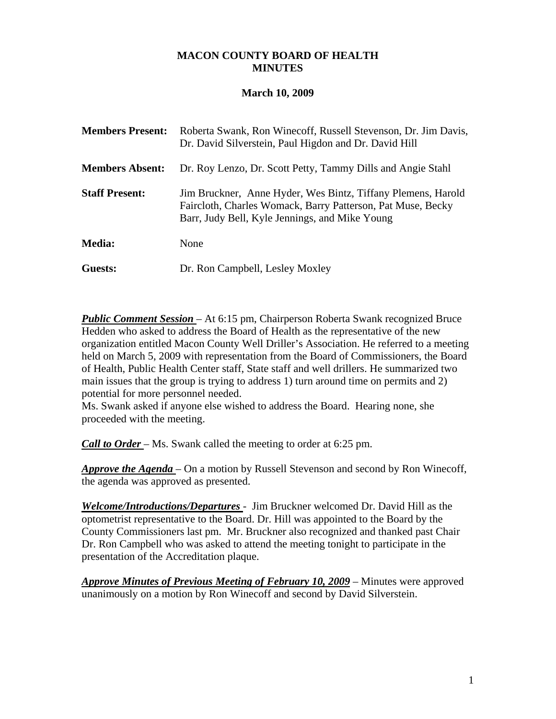## **MACON COUNTY BOARD OF HEALTH MINUTES**

## **March 10, 2009**

| <b>Members Present:</b> | Roberta Swank, Ron Winecoff, Russell Stevenson, Dr. Jim Davis,<br>Dr. David Silverstein, Paul Higdon and Dr. David Hill                                                       |
|-------------------------|-------------------------------------------------------------------------------------------------------------------------------------------------------------------------------|
| <b>Members Absent:</b>  | Dr. Roy Lenzo, Dr. Scott Petty, Tammy Dills and Angie Stahl                                                                                                                   |
| <b>Staff Present:</b>   | Jim Bruckner, Anne Hyder, Wes Bintz, Tiffany Plemens, Harold<br>Faircloth, Charles Womack, Barry Patterson, Pat Muse, Becky<br>Barr, Judy Bell, Kyle Jennings, and Mike Young |
| <b>Media:</b>           | None                                                                                                                                                                          |
| Guests:                 | Dr. Ron Campbell, Lesley Moxley                                                                                                                                               |

*Public Comment Session* – At 6:15 pm, Chairperson Roberta Swank recognized Bruce Hedden who asked to address the Board of Health as the representative of the new organization entitled Macon County Well Driller's Association. He referred to a meeting held on March 5, 2009 with representation from the Board of Commissioners, the Board of Health, Public Health Center staff, State staff and well drillers. He summarized two main issues that the group is trying to address 1) turn around time on permits and 2) potential for more personnel needed.

Ms. Swank asked if anyone else wished to address the Board. Hearing none, she proceeded with the meeting.

*Call to Order* – Ms. Swank called the meeting to order at 6:25 pm.

*Approve the Agenda* – On a motion by Russell Stevenson and second by Ron Winecoff, the agenda was approved as presented.

*Welcome/Introductions/Departures* - Jim Bruckner welcomed Dr. David Hill as the optometrist representative to the Board. Dr. Hill was appointed to the Board by the County Commissioners last pm. Mr. Bruckner also recognized and thanked past Chair Dr. Ron Campbell who was asked to attend the meeting tonight to participate in the presentation of the Accreditation plaque.

*Approve Minutes of Previous Meeting of February 10, 2009* – Minutes were approved unanimously on a motion by Ron Winecoff and second by David Silverstein.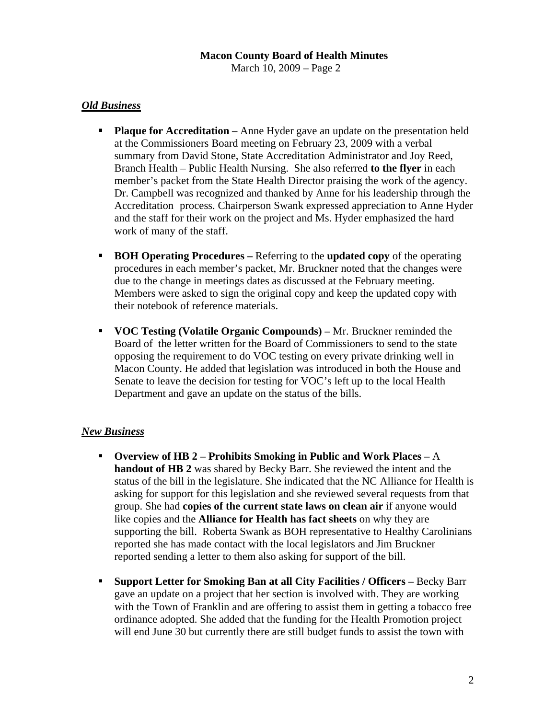### **Macon County Board of Health Minutes**  March 10, 2009 – Page 2

# *Old Business*

- **Plaque for Accreditation** Anne Hyder gave an update on the presentation held at the Commissioners Board meeting on February 23, 2009 with a verbal summary from David Stone, State Accreditation Administrator and Joy Reed, Branch Health – Public Health Nursing. She also referred **to the flyer** in each member's packet from the State Health Director praising the work of the agency. Dr. Campbell was recognized and thanked by Anne for his leadership through the Accreditation process. Chairperson Swank expressed appreciation to Anne Hyder and the staff for their work on the project and Ms. Hyder emphasized the hard work of many of the staff.
- **BOH Operating Procedures** Referring to the **updated copy** of the operating procedures in each member's packet, Mr. Bruckner noted that the changes were due to the change in meetings dates as discussed at the February meeting. Members were asked to sign the original copy and keep the updated copy with their notebook of reference materials.
- **VOC Testing (Volatile Organic Compounds)** Mr. Bruckner reminded the Board of the letter written for the Board of Commissioners to send to the state opposing the requirement to do VOC testing on every private drinking well in Macon County. He added that legislation was introduced in both the House and Senate to leave the decision for testing for VOC's left up to the local Health Department and gave an update on the status of the bills.

# *New Business*

- **Overview of HB 2 Prohibits Smoking in Public and Work Places** A **handout of HB 2** was shared by Becky Barr. She reviewed the intent and the status of the bill in the legislature. She indicated that the NC Alliance for Health is asking for support for this legislation and she reviewed several requests from that group. She had **copies of the current state laws on clean air** if anyone would like copies and the **Alliance for Health has fact sheets** on why they are supporting the bill. Roberta Swank as BOH representative to Healthy Carolinians reported she has made contact with the local legislators and Jim Bruckner reported sending a letter to them also asking for support of the bill.
- **Support Letter for Smoking Ban at all City Facilities / Officers –** Becky Barr gave an update on a project that her section is involved with. They are working with the Town of Franklin and are offering to assist them in getting a tobacco free ordinance adopted. She added that the funding for the Health Promotion project will end June 30 but currently there are still budget funds to assist the town with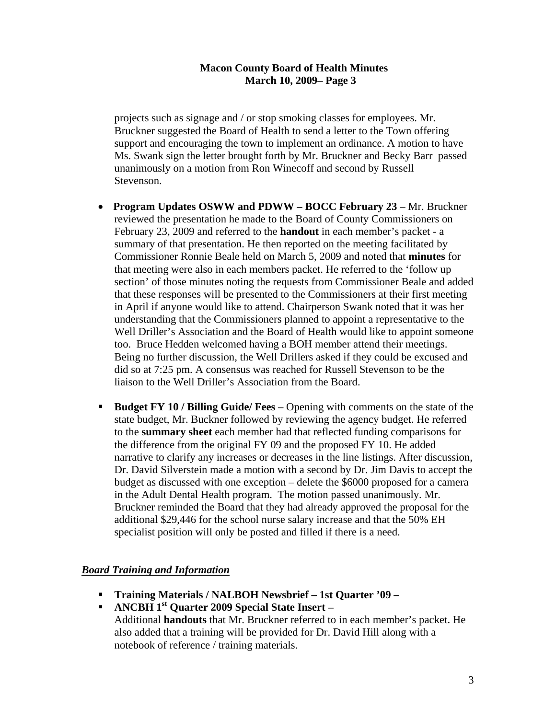## **Macon County Board of Health Minutes**  **March 10, 2009– Page 3**

 projects such as signage and / or stop smoking classes for employees. Mr. Bruckner suggested the Board of Health to send a letter to the Town offering support and encouraging the town to implement an ordinance. A motion to have Ms. Swank sign the letter brought forth by Mr. Bruckner and Becky Barr passed unanimously on a motion from Ron Winecoff and second by Russell Stevenson.

- **Program Updates OSWW and PDWW BOCC February 23 Mr. Bruckner** reviewed the presentation he made to the Board of County Commissioners on February 23, 2009 and referred to the **handout** in each member's packet - a summary of that presentation. He then reported on the meeting facilitated by Commissioner Ronnie Beale held on March 5, 2009 and noted that **minutes** for that meeting were also in each members packet. He referred to the 'follow up section' of those minutes noting the requests from Commissioner Beale and added that these responses will be presented to the Commissioners at their first meeting in April if anyone would like to attend. Chairperson Swank noted that it was her understanding that the Commissioners planned to appoint a representative to the Well Driller's Association and the Board of Health would like to appoint someone too. Bruce Hedden welcomed having a BOH member attend their meetings. Being no further discussion, the Well Drillers asked if they could be excused and did so at 7:25 pm. A consensus was reached for Russell Stevenson to be the liaison to the Well Driller's Association from the Board.
- **Budget FY 10 / Billing Guide/ Fees** Opening with comments on the state of the state budget, Mr. Buckner followed by reviewing the agency budget. He referred to the **summary sheet** each member had that reflected funding comparisons for the difference from the original FY 09 and the proposed FY 10. He added narrative to clarify any increases or decreases in the line listings. After discussion, Dr. David Silverstein made a motion with a second by Dr. Jim Davis to accept the budget as discussed with one exception – delete the \$6000 proposed for a camera in the Adult Dental Health program. The motion passed unanimously. Mr. Bruckner reminded the Board that they had already approved the proposal for the additional \$29,446 for the school nurse salary increase and that the 50% EH specialist position will only be posted and filled if there is a need.

### *Board Training and Information*

- **Training Materials / NALBOH Newsbrief 1st Quarter '09 –**
- **ANCBH 1<sup>st</sup> Quarter 2009 Special State Insert** Additional **handouts** that Mr. Bruckner referred to in each member's packet. He also added that a training will be provided for Dr. David Hill along with a notebook of reference / training materials.